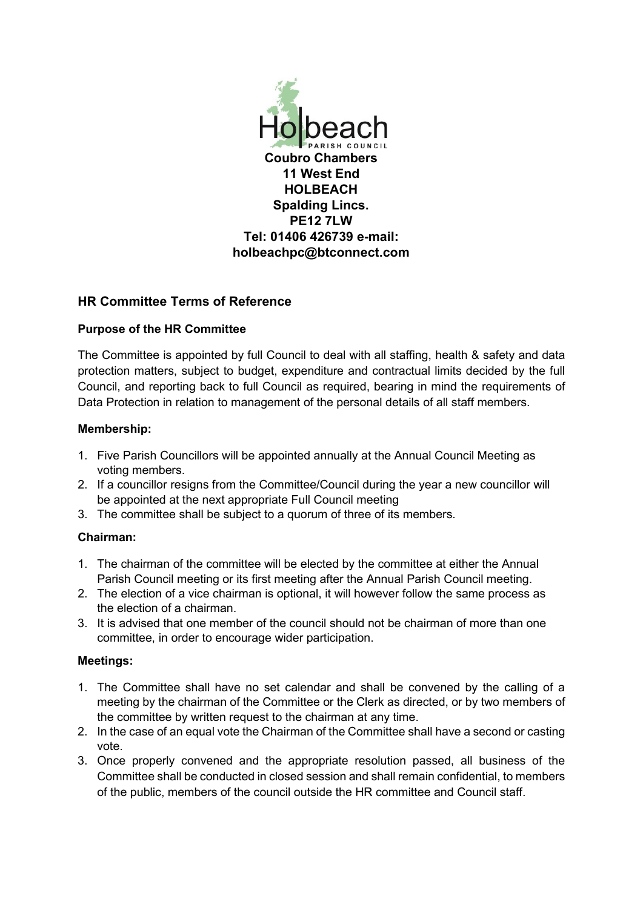

# **HR Committee Terms of Reference**

## **Purpose of the HR Committee**

The Committee is appointed by full Council to deal with all staffing, health & safety and data protection matters, subject to budget, expenditure and contractual limits decided by the full Council, and reporting back to full Council as required, bearing in mind the requirements of Data Protection in relation to management of the personal details of all staff members.

### **Membership:**

- 1. Five Parish Councillors will be appointed annually at the Annual Council Meeting as voting members.
- 2. If a councillor resigns from the Committee/Council during the year a new councillor will be appointed at the next appropriate Full Council meeting
- 3. The committee shall be subject to a quorum of three of its members.

### **Chairman:**

- 1. The chairman of the committee will be elected by the committee at either the Annual Parish Council meeting or its first meeting after the Annual Parish Council meeting.
- 2. The election of a vice chairman is optional, it will however follow the same process as the election of a chairman.
- 3. It is advised that one member of the council should not be chairman of more than one committee, in order to encourage wider participation.

### **Meetings:**

- 1. The Committee shall have no set calendar and shall be convened by the calling of a meeting by the chairman of the Committee or the Clerk as directed, or by two members of the committee by written request to the chairman at any time.
- 2. In the case of an equal vote the Chairman of the Committee shall have a second or casting vote.
- 3. Once properly convened and the appropriate resolution passed, all business of the Committee shall be conducted in closed session and shall remain confidential, to members of the public, members of the council outside the HR committee and Council staff.